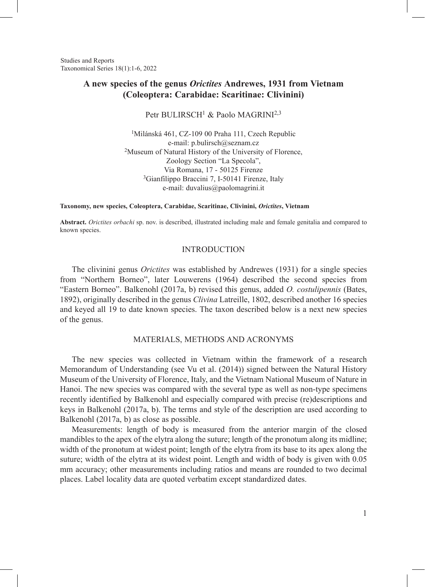Studies and Reports Taxonomical Series 18(1):1-6, 2022

# **A new species of the genus** *Orictites* **Andrewes, 1931 from Vietnam (Coleoptera: Carabidae: Scaritinae: Clivinini)**

Petr BULIRSCH<sup>1</sup> & Paolo MAGRINI<sup>2,3</sup>

1Milánská 461, CZ-109 00 Praha 111, Czech Republic e-mail: p.bulirsch@seznam.cz <sup>2</sup>Museum of Natural History of the University of Florence, Zoology Section "La Specola", Via Romana, 17 - 50125 Firenze<br><sup>3</sup>Gianfilippo Braccini 7, I-50141 Firenze, Italy e-mail: duvalius@paolomagrini.it

**Taxonomy, new species, Coleoptera, Carabidae, Scaritinae, Clivinini,** *Orictites***, Vietnam**

**Abstract.** *Orictites orbachi* sp. nov. is described, illustrated including male and female genitalia and compared to known species.

# INTRODUCTION

The clivinini genus *Orictites* was established by Andrewes (1931) for a single species from "Northern Borneo", later Louwerens (1964) described the second species from "Eastern Borneo". Balkenohl (2017a, b) revised this genus, added *O. costulipennis* (Bates, 1892), originally described in the genus *Clivina* Latreille, 1802, described another 16 species and keyed all 19 to date known species. The taxon described below is a next new species of the genus.

#### MATERIALS, METHODS AND ACRONYMS

The new species was collected in Vietnam within the framework of a research Memorandum of Understanding (see Vu et al. (2014)) signed between the Natural History Museum of the University of Florence, Italy, and the Vietnam National Museum of Nature in Hanoi. The new species was compared with the several type as well as non-type specimens recently identified by Balkenohl and especially compared with precise (re)descriptions and keys in Balkenohl (2017a, b). The terms and style of the description are used according to Balkenohl (2017a, b) as close as possible.

Measurements: length of body is measured from the anterior margin of the closed mandibles to the apex of the elytra along the suture; length of the pronotum along its midline; width of the pronotum at widest point; length of the elytra from its base to its apex along the suture; width of the elytra at its widest point. Length and width of body is given with 0.05 mm accuracy; other measurements including ratios and means are rounded to two decimal places. Label locality data are quoted verbatim except standardized dates.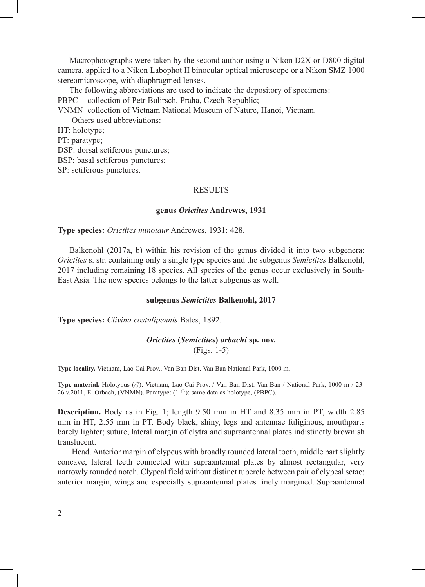Macrophotographs were taken by the second author using a Nikon D2X or D800 digital camera, applied to a Nikon Labophot II binocular optical microscope or a Nikon SMZ 1000 stereomicroscope, with diaphragmed lenses.

The following abbreviations are used to indicate the depository of specimens: PBPC collection of Petr Bulirsch, Praha, Czech Republic;

VNMN collection of Vietnam National Museum of Nature, Hanoi, Vietnam.

Others used abbreviations:

HT: holotype;

PT: paratype;

DSP: dorsal setiferous punctures;

BSP: basal setiferous punctures;

SP: setiferous punctures.

# **RESULTS**

### **genus** *Orictites* **Andrewes, 1931**

**Type species:** *Orictites minotaur* Andrewes, 1931: 428.

Balkenohl (2017a, b) within his revision of the genus divided it into two subgenera: *Orictites* s. str. containing only a single type species and the subgenus *Semictites* Balkenohl, 2017 including remaining 18 species. All species of the genus occur exclusively in South-East Asia. The new species belongs to the latter subgenus as well.

#### **subgenus** *Semictites* **Balkenohl, 2017**

**Type species:** *Clivina costulipennis* Bates, 1892.

# *Orictites* **(***Semictites***)** *orbachi* **sp. nov.**

(Figs. 1-5)

**Type locality.** Vietnam, Lao Cai Prov., Van Ban Dist. Van Ban National Park, 1000 m.

**Type material.** Holotypus (♂): Vietnam, Lao Cai Prov. / Van Ban Dist. Van Ban / National Park, 1000 m / 23- 26.v.2011, E. Orbach, (VNMN). Paratype:  $(1 \nsubseteq)$ : same data as holotype, (PBPC).

**Description.** Body as in Fig. 1; length 9.50 mm in HT and 8.35 mm in PT, width 2.85 mm in HT, 2.55 mm in PT. Body black, shiny, legs and antennae fuliginous, mouthparts barely lighter; suture, lateral margin of elytra and supraantennal plates indistinctly brownish translucent.

Head. Anterior margin of clypeus with broadly rounded lateral tooth, middle part slightly concave, lateral teeth connected with supraantennal plates by almost rectangular, very narrowly rounded notch. Clypeal field without distinct tubercle between pair of clypeal setae; anterior margin, wings and especially supraantennal plates finely margined. Supraantennal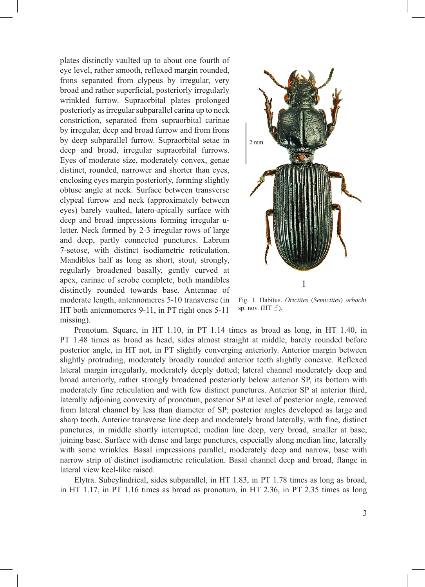plates distinctly vaulted up to about one fourth of eye level, rather smooth, reflexed margin rounded, frons separated from clypeus by irregular, very broad and rather superficial, posteriorly irregularly wrinkled furrow. Supraorbital plates prolonged posteriorly as irregular subparallel carina up to neck constriction, separated from supraorbital carinae by irregular, deep and broad furrow and from frons by deep subparallel furrow. Supraorbital setae in deep and broad, irregular supraorbital furrows. Eyes of moderate size, moderately convex, genae distinct, rounded, narrower and shorter than eyes, enclosing eyes margin posteriorly, forming slightly obtuse angle at neck. Surface between transverse clypeal furrow and neck (approximately between eyes) barely vaulted, latero-apically surface with deep and broad impressions forming irregular uletter. Neck formed by 2-3 irregular rows of large and deep, partly connected punctures. Labrum 7-setose, with distinct isodiametric reticulation. Mandibles half as long as short, stout, strongly, regularly broadened basally, gently curved at apex, carinae of scrobe complete, both mandibles distinctly rounded towards base. Antennae of moderate length, antennomeres 5-10 transverse (in HT both antennomeres 9-11, in PT right ones 5-11 missing).



Fig. 1. Habitus. *Orictites* (*Semictites*) *orbachi*  sp. nov. (HT $\Diamond$ ).

Pronotum. Square, in HT 1.10, in PT 1.14 times as broad as long, in HT 1.40, in PT 1.48 times as broad as head, sides almost straight at middle, barely rounded before posterior angle, in HT not, in PT slightly converging anteriorly. Anterior margin between slightly protruding, moderately broadly rounded anterior teeth slightly concave. Reflexed lateral margin irregularly, moderately deeply dotted; lateral channel moderately deep and broad anteriorly, rather strongly broadened posteriorly below anterior SP, its bottom with moderately fine reticulation and with few distinct punctures. Anterior SP at anterior third, laterally adjoining convexity of pronotum, posterior SP at level of posterior angle, removed from lateral channel by less than diameter of SP; posterior angles developed as large and sharp tooth. Anterior transverse line deep and moderately broad laterally, with fine, distinct punctures, in middle shortly interrupted; median line deep, very broad, smaller at base, joining base. Surface with dense and large punctures, especially along median line, laterally with some wrinkles. Basal impressions parallel, moderately deep and narrow, base with narrow strip of distinct isodiametric reticulation. Basal channel deep and broad, flange in lateral view keel-like raised.

Elytra. Subcylindrical, sides subparallel, in HT 1.83, in PT 1.78 times as long as broad, in HT 1.17, in PT 1.16 times as broad as pronotum, in HT 2.36, in PT 2.35 times as long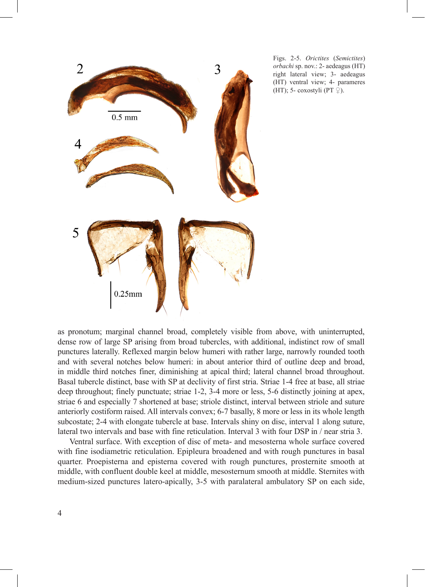

Figs. 2-5. *Orictites* (*Semictites*) *orbachi* sp. nov.: 2- aedeagus (HT) right lateral view; 3- aedeagus (HT) ventral view; 4- parameres (HT); 5- coxostyli (PT  $\mathcal{Q}$ ).

as pronotum; marginal channel broad, completely visible from above, with uninterrupted, dense row of large SP arising from broad tubercles, with additional, indistinct row of small punctures laterally. Reflexed margin below humeri with rather large, narrowly rounded tooth and with several notches below humeri: in about anterior third of outline deep and broad, in middle third notches finer, diminishing at apical third; lateral channel broad throughout. Basal tubercle distinct, base with SP at declivity of first stria. Striae 1-4 free at base, all striae deep throughout; finely punctuate; striae 1-2, 3-4 more or less, 5-6 distinctly joining at apex, striae 6 and especially 7 shortened at base; striole distinct, interval between striole and suture anteriorly costiform raised. All intervals convex; 6-7 basally, 8 more or less in its whole length subcostate; 2-4 with elongate tubercle at base. Intervals shiny on disc, interval 1 along suture, lateral two intervals and base with fine reticulation. Interval 3 with four DSP in / near stria 3.

Ventral surface. With exception of disc of meta- and mesosterna whole surface covered with fine isodiametric reticulation. Epipleura broadened and with rough punctures in basal quarter. Proepisterna and episterna covered with rough punctures, prosternite smooth at middle, with confluent double keel at middle, mesosternum smooth at middle. Sternites with medium-sized punctures latero-apically, 3-5 with paralateral ambulatory SP on each side,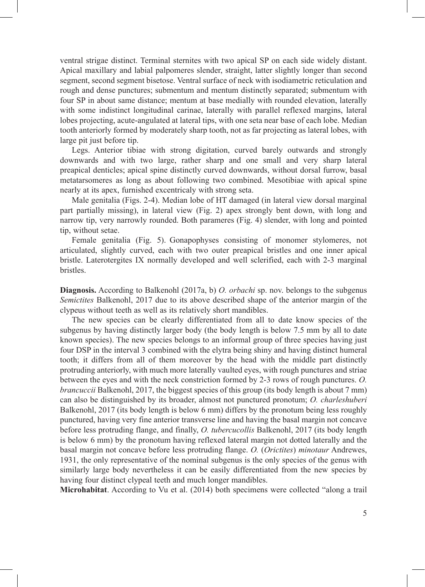ventral strigae distinct. Terminal sternites with two apical SP on each side widely distant. Apical maxillary and labial palpomeres slender, straight, latter slightly longer than second segment, second segment bisetose. Ventral surface of neck with isodiametric reticulation and rough and dense punctures; submentum and mentum distinctly separated; submentum with four SP in about same distance; mentum at base medially with rounded elevation, laterally with some indistinct longitudinal carinae, laterally with parallel reflexed margins, lateral lobes projecting, acute-angulated at lateral tips, with one seta near base of each lobe. Median tooth anteriorly formed by moderately sharp tooth, not as far projecting as lateral lobes, with large pit just before tip.

Legs. Anterior tibiae with strong digitation, curved barely outwards and strongly downwards and with two large, rather sharp and one small and very sharp lateral preapical denticles; apical spine distinctly curved downwards, without dorsal furrow, basal metatarsomeres as long as about following two combined. Mesotibiae with apical spine nearly at its apex, furnished excentricaly with strong seta.

Male genitalia (Figs. 2-4). Median lobe of HT damaged (in lateral view dorsal marginal part partially missing), in lateral view (Fig. 2) apex strongly bent down, with long and narrow tip, very narrowly rounded. Both parameres (Fig. 4) slender, with long and pointed tip, without setae.

Female genitalia (Fig. 5). Gonapophyses consisting of monomer stylomeres, not articulated, slightly curved, each with two outer preapical bristles and one inner apical bristle. Laterotergites IX normally developed and well sclerified, each with 2-3 marginal bristles.

**Diagnosis.** According to Balkenohl (2017a, b) *O. orbachi* sp. nov. belongs to the subgenus *Semictites* Balkenohl, 2017 due to its above described shape of the anterior margin of the clypeus without teeth as well as its relatively short mandibles.

The new species can be clearly differentiated from all to date know species of the subgenus by having distinctly larger body (the body length is below 7.5 mm by all to date known species). The new species belongs to an informal group of three species having just four DSP in the interval 3 combined with the elytra being shiny and having distinct humeral tooth; it differs from all of them moreover by the head with the middle part distinctly protruding anteriorly, with much more laterally vaulted eyes, with rough punctures and striae between the eyes and with the neck constriction formed by 2-3 rows of rough punctures. *O. brancuccii* Balkenohl, 2017, the biggest species of this group (its body length is about 7 mm) can also be distinguished by its broader, almost not punctured pronotum; *O. charleshuberi* Balkenohl, 2017 (its body length is below 6 mm) differs by the pronotum being less roughly punctured, having very fine anterior transverse line and having the basal margin not concave before less protruding flange, and finally, *O. tubercucollis* Balkenohl, 2017 (its body length is below 6 mm) by the pronotum having reflexed lateral margin not dotted laterally and the basal margin not concave before less protruding flange. *O.* (*Orictites*) *minotaur* Andrewes, 1931, the only representative of the nominal subgenus is the only species of the genus with similarly large body nevertheless it can be easily differentiated from the new species by having four distinct clypeal teeth and much longer mandibles.

**Microhabitat**. According to Vu et al. (2014) both specimens were collected "along a trail